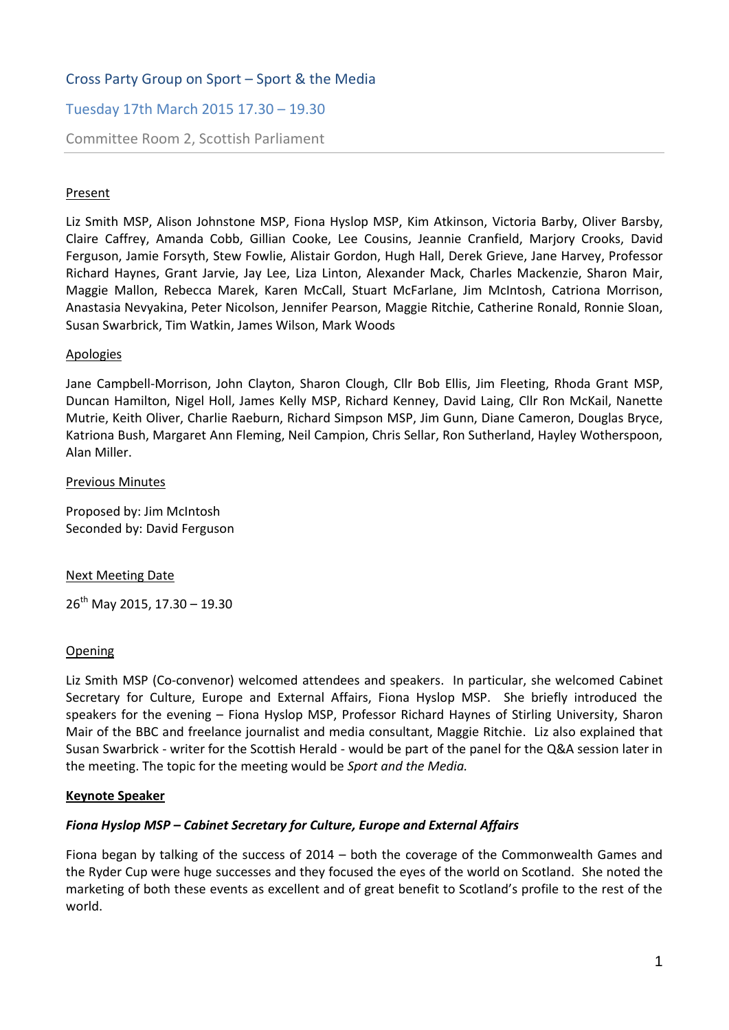# Cross Party Group on Sport – Sport & the Media

# Tuesday 17th March 2015 17.30 – 19.30

### Committee Room 2, Scottish Parliament

### **Present**

Liz Smith MSP, Alison Johnstone MSP, Fiona Hyslop MSP, Kim Atkinson, Victoria Barby, Oliver Barsby, Claire Caffrey, Amanda Cobb, Gillian Cooke, Lee Cousins, Jeannie Cranfield, Marjory Crooks, David Ferguson, Jamie Forsyth, Stew Fowlie, Alistair Gordon, Hugh Hall, Derek Grieve, Jane Harvey, Professor Richard Haynes, Grant Jarvie, Jay Lee, Liza Linton, Alexander Mack, Charles Mackenzie, Sharon Mair, Maggie Mallon, Rebecca Marek, Karen McCall, Stuart McFarlane, Jim McIntosh, Catriona Morrison, Anastasia Nevyakina, Peter Nicolson, Jennifer Pearson, Maggie Ritchie, Catherine Ronald, Ronnie Sloan, Susan Swarbrick, Tim Watkin, James Wilson, Mark Woods

### **Apologies**

Jane Campbell-Morrison, John Clayton, Sharon Clough, Cllr Bob Ellis, Jim Fleeting, Rhoda Grant MSP, Duncan Hamilton, Nigel Holl, James Kelly MSP, Richard Kenney, David Laing, Cllr Ron McKail, Nanette Mutrie, Keith Oliver, Charlie Raeburn, Richard Simpson MSP, Jim Gunn, Diane Cameron, Douglas Bryce, Katriona Bush, Margaret Ann Fleming, Neil Campion, Chris Sellar, Ron Sutherland, Hayley Wotherspoon, Alan Miller.

#### Previous Minutes

Proposed by: Jim McIntosh Seconded by: David Ferguson

#### Next Meeting Date

 $26^{th}$  May 2015, 17.30 - 19.30

### **Opening**

Liz Smith MSP (Co-convenor) welcomed attendees and speakers. In particular, she welcomed Cabinet Secretary for Culture, Europe and External Affairs, Fiona Hyslop MSP. She briefly introduced the speakers for the evening – Fiona Hyslop MSP, Professor Richard Haynes of Stirling University, Sharon Mair of the BBC and freelance journalist and media consultant, Maggie Ritchie. Liz also explained that Susan Swarbrick - writer for the Scottish Herald - would be part of the panel for the Q&A session later in the meeting. The topic for the meeting would be *Sport and the Media.* 

### **Keynote Speaker**

### *Fiona Hyslop MSP – Cabinet Secretary for Culture, Europe and External Affairs*

Fiona began by talking of the success of 2014 – both the coverage of the Commonwealth Games and the Ryder Cup were huge successes and they focused the eyes of the world on Scotland. She noted the marketing of both these events as excellent and of great benefit to Scotland's profile to the rest of the world.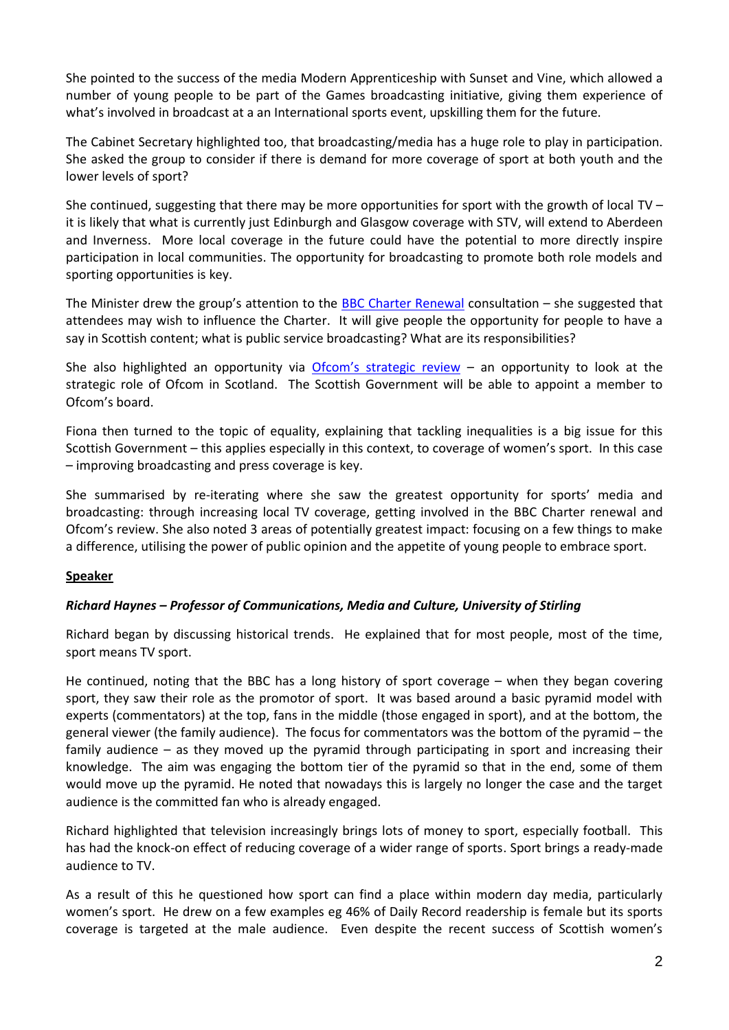She pointed to the success of the media Modern Apprenticeship with Sunset and Vine, which allowed a number of young people to be part of the Games broadcasting initiative, giving them experience of what's involved in broadcast at a an International sports event, upskilling them for the future.

The Cabinet Secretary highlighted too, that broadcasting/media has a huge role to play in participation. She asked the group to consider if there is demand for more coverage of sport at both youth and the lower levels of sport?

She continued, suggesting that there may be more opportunities for sport with the growth of local TV – it is likely that what is currently just Edinburgh and Glasgow coverage with STV, will extend to Aberdeen and Inverness. More local coverage in the future could have the potential to more directly inspire participation in local communities. The opportunity for broadcasting to promote both role models and sporting opportunities is key.

The Minister drew the group's attention to the [BBC Charter Renewal](http://www.telegraph.co.uk/news/bbc/11385353/BBC-Trust-boss-public-must-have-say-in-charter-renewal.html) consultation – she suggested that attendees may wish to influence the Charter. It will give people the opportunity for people to have a say in Scottish content; what is public service broadcasting? What are its responsibilities?

She also highlighted an opportunity via [Ofcom's strategic](http://media.ofcom.org.uk/news/2015/digital-comms-review/) review  $-$  an opportunity to look at the strategic role of Ofcom in Scotland. The Scottish Government will be able to appoint a member to Ofcom's board.

Fiona then turned to the topic of equality, explaining that tackling inequalities is a big issue for this Scottish Government – this applies especially in this context, to coverage of women's sport. In this case – improving broadcasting and press coverage is key.

She summarised by re-iterating where she saw the greatest opportunity for sports' media and broadcasting: through increasing local TV coverage, getting involved in the BBC Charter renewal and Ofcom's review. She also noted 3 areas of potentially greatest impact: focusing on a few things to make a difference, utilising the power of public opinion and the appetite of young people to embrace sport.

# **Speaker**

# *Richard Haynes – Professor of Communications, Media and Culture, University of Stirling*

Richard began by discussing historical trends. He explained that for most people, most of the time, sport means TV sport.

He continued, noting that the BBC has a long history of sport coverage – when they began covering sport, they saw their role as the promotor of sport. It was based around a basic pyramid model with experts (commentators) at the top, fans in the middle (those engaged in sport), and at the bottom, the general viewer (the family audience). The focus for commentators was the bottom of the pyramid – the family audience – as they moved up the pyramid through participating in sport and increasing their knowledge. The aim was engaging the bottom tier of the pyramid so that in the end, some of them would move up the pyramid. He noted that nowadays this is largely no longer the case and the target audience is the committed fan who is already engaged.

Richard highlighted that television increasingly brings lots of money to sport, especially football. This has had the knock-on effect of reducing coverage of a wider range of sports. Sport brings a ready-made audience to TV.

As a result of this he questioned how sport can find a place within modern day media, particularly women's sport. He drew on a few examples eg 46% of Daily Record readership is female but its sports coverage is targeted at the male audience. Even despite the recent success of Scottish women's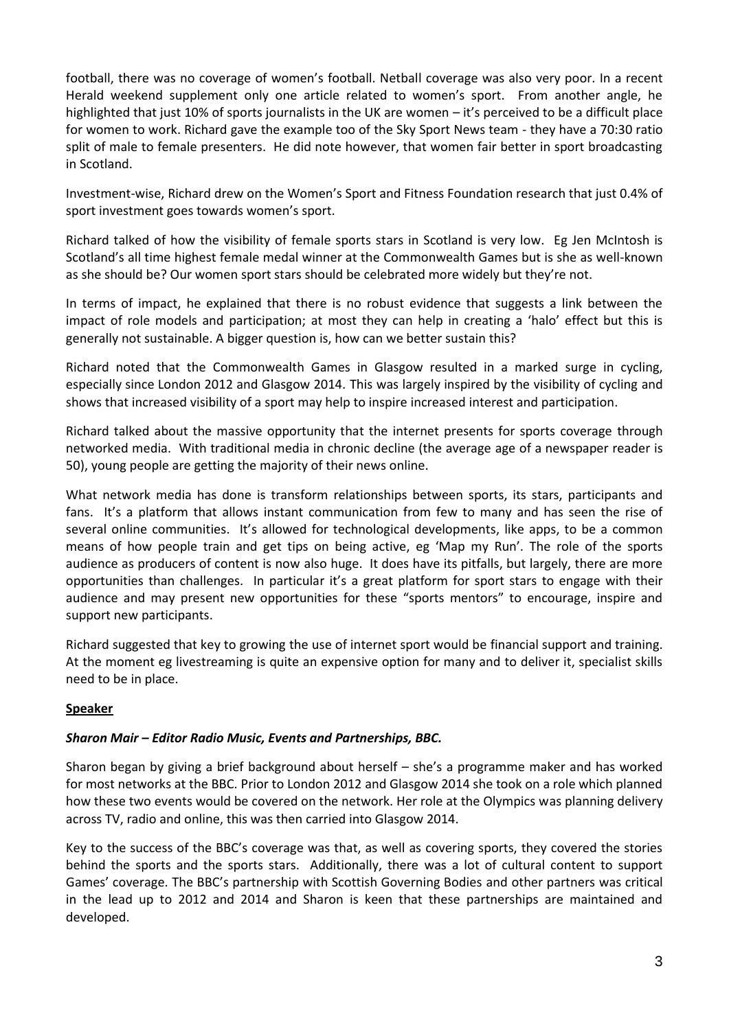football, there was no coverage of women's football. Netball coverage was also very poor. In a recent Herald weekend supplement only one article related to women's sport. From another angle, he highlighted that just 10% of sports journalists in the UK are women – it's perceived to be a difficult place for women to work. Richard gave the example too of the Sky Sport News team - they have a 70:30 ratio split of male to female presenters. He did note however, that women fair better in sport broadcasting in Scotland.

Investment-wise, Richard drew on the Women's Sport and Fitness Foundation research that just 0.4% of sport investment goes towards women's sport.

Richard talked of how the visibility of female sports stars in Scotland is very low. Eg Jen McIntosh is Scotland's all time highest female medal winner at the Commonwealth Games but is she as well-known as she should be? Our women sport stars should be celebrated more widely but they're not.

In terms of impact, he explained that there is no robust evidence that suggests a link between the impact of role models and participation; at most they can help in creating a 'halo' effect but this is generally not sustainable. A bigger question is, how can we better sustain this?

Richard noted that the Commonwealth Games in Glasgow resulted in a marked surge in cycling, especially since London 2012 and Glasgow 2014. This was largely inspired by the visibility of cycling and shows that increased visibility of a sport may help to inspire increased interest and participation.

Richard talked about the massive opportunity that the internet presents for sports coverage through networked media. With traditional media in chronic decline (the average age of a newspaper reader is 50), young people are getting the majority of their news online.

What network media has done is transform relationships between sports, its stars, participants and fans. It's a platform that allows instant communication from few to many and has seen the rise of several online communities. It's allowed for technological developments, like apps, to be a common means of how people train and get tips on being active, eg 'Map my Run'. The role of the sports audience as producers of content is now also huge. It does have its pitfalls, but largely, there are more opportunities than challenges. In particular it's a great platform for sport stars to engage with their audience and may present new opportunities for these "sports mentors" to encourage, inspire and support new participants.

Richard suggested that key to growing the use of internet sport would be financial support and training. At the moment eg livestreaming is quite an expensive option for many and to deliver it, specialist skills need to be in place.

# **Speaker**

### *Sharon Mair – Editor Radio Music, Events and Partnerships, BBC.*

Sharon began by giving a brief background about herself – she's a programme maker and has worked for most networks at the BBC. Prior to London 2012 and Glasgow 2014 she took on a role which planned how these two events would be covered on the network. Her role at the Olympics was planning delivery across TV, radio and online, this was then carried into Glasgow 2014.

Key to the success of the BBC's coverage was that, as well as covering sports, they covered the stories behind the sports and the sports stars. Additionally, there was a lot of cultural content to support Games' coverage. The BBC's partnership with Scottish Governing Bodies and other partners was critical in the lead up to 2012 and 2014 and Sharon is keen that these partnerships are maintained and developed.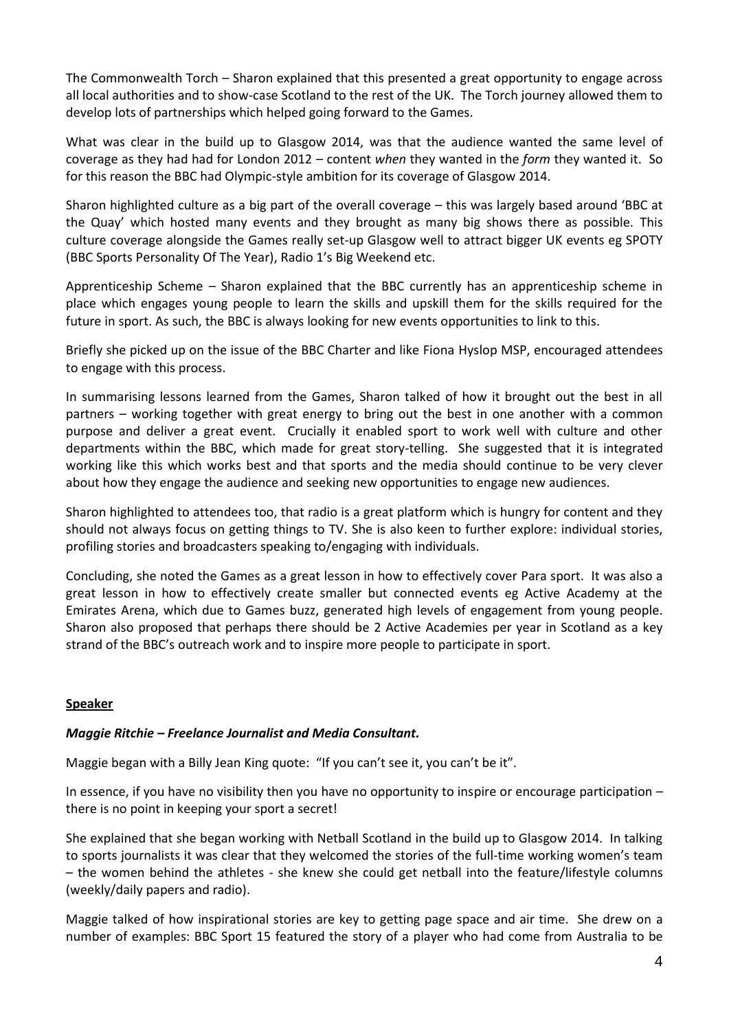The Commonwealth Torch – Sharon explained that this presented a great opportunity to engage across all local authorities and to show-case Scotland to the rest of the UK. The Torch journey allowed them to develop lots of partnerships which helped going forward to the Games.

What was clear in the build up to Glasgow 2014, was that the audience wanted the same level of coverage as they had had for London 2012 – content *when* they wanted in the *form* they wanted it. So for this reason the BBC had Olympic-style ambition for its coverage of Glasgow 2014.

Sharon highlighted culture as a big part of the overall coverage – this was largely based around 'BBC at the Quay' which hosted many events and they brought as many big shows there as possible. This culture coverage alongside the Games really set-up Glasgow well to attract bigger UK events eg SPOTY (BBC Sports Personality Of The Year), Radio 1's Big Weekend etc.

Apprenticeship Scheme – Sharon explained that the BBC currently has an apprenticeship scheme in place which engages young people to learn the skills and upskill them for the skills required for the future in sport. As such, the BBC is always looking for new events opportunities to link to this.

Briefly she picked up on the issue of the BBC Charter and like Fiona Hyslop MSP, encouraged attendees to engage with this process.

In summarising lessons learned from the Games, Sharon talked of how it brought out the best in all partners – working together with great energy to bring out the best in one another with a common purpose and deliver a great event. Crucially it enabled sport to work well with culture and other departments within the BBC, which made for great story-telling. She suggested that it is integrated working like this which works best and that sports and the media should continue to be very clever about how they engage the audience and seeking new opportunities to engage new audiences.

Sharon highlighted to attendees too, that radio is a great platform which is hungry for content and they should not always focus on getting things to TV. She is also keen to further explore: individual stories, profiling stories and broadcasters speaking to/engaging with individuals.

Concluding, she noted the Games as a great lesson in how to effectively cover Para sport. It was also a great lesson in how to effectively create smaller but connected events eg Active Academy at the Emirates Arena, which due to Games buzz, generated high levels of engagement from young people. Sharon also proposed that perhaps there should be 2 Active Academies per year in Scotland as a key strand of the BBC's outreach work and to inspire more people to participate in sport.

### **Speaker**

### *Maggie Ritchie – Freelance Journalist and Media Consultant.*

Maggie began with a Billy Jean King quote: "If you can't see it, you can't be it".

In essence, if you have no visibility then you have no opportunity to inspire or encourage participation – there is no point in keeping your sport a secret!

She explained that she began working with Netball Scotland in the build up to Glasgow 2014. In talking to sports journalists it was clear that they welcomed the stories of the full-time working women's team – the women behind the athletes - she knew she could get netball into the feature/lifestyle columns (weekly/daily papers and radio).

Maggie talked of how inspirational stories are key to getting page space and air time. She drew on a number of examples: BBC Sport 15 featured the story of a player who had come from Australia to be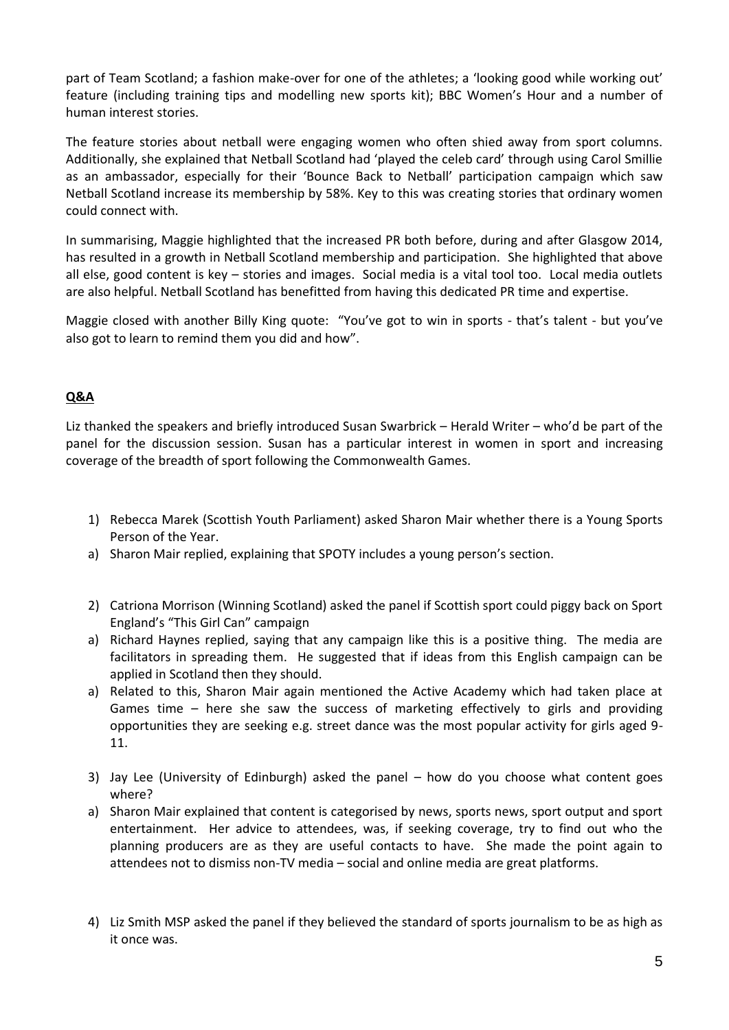part of Team Scotland; a fashion make-over for one of the athletes; a 'looking good while working out' feature (including training tips and modelling new sports kit); BBC Women's Hour and a number of human interest stories.

The feature stories about netball were engaging women who often shied away from sport columns. Additionally, she explained that Netball Scotland had 'played the celeb card' through using Carol Smillie as an ambassador, especially for their 'Bounce Back to Netball' participation campaign which saw Netball Scotland increase its membership by 58%. Key to this was creating stories that ordinary women could connect with.

In summarising, Maggie highlighted that the increased PR both before, during and after Glasgow 2014, has resulted in a growth in Netball Scotland membership and participation. She highlighted that above all else, good content is key – stories and images. Social media is a vital tool too. Local media outlets are also helpful. Netball Scotland has benefitted from having this dedicated PR time and expertise.

Maggie closed with another Billy King quote: "You've got to win in sports - that's talent - but you've also got to learn to remind them you did and how".

### **Q&A**

Liz thanked the speakers and briefly introduced Susan Swarbrick – Herald Writer – who'd be part of the panel for the discussion session. Susan has a particular interest in women in sport and increasing coverage of the breadth of sport following the Commonwealth Games.

- 1) Rebecca Marek (Scottish Youth Parliament) asked Sharon Mair whether there is a Young Sports Person of the Year.
- a) Sharon Mair replied, explaining that SPOTY includes a young person's section.
- 2) Catriona Morrison (Winning Scotland) asked the panel if Scottish sport could piggy back on Sport England's "This Girl Can" campaign
- a) Richard Haynes replied, saying that any campaign like this is a positive thing. The media are facilitators in spreading them. He suggested that if ideas from this English campaign can be applied in Scotland then they should.
- a) Related to this, Sharon Mair again mentioned the Active Academy which had taken place at Games time – here she saw the success of marketing effectively to girls and providing opportunities they are seeking e.g. street dance was the most popular activity for girls aged 9- 11.
- 3) Jay Lee (University of Edinburgh) asked the panel how do you choose what content goes where?
- a) Sharon Mair explained that content is categorised by news, sports news, sport output and sport entertainment. Her advice to attendees, was, if seeking coverage, try to find out who the planning producers are as they are useful contacts to have. She made the point again to attendees not to dismiss non-TV media – social and online media are great platforms.
- 4) Liz Smith MSP asked the panel if they believed the standard of sports journalism to be as high as it once was.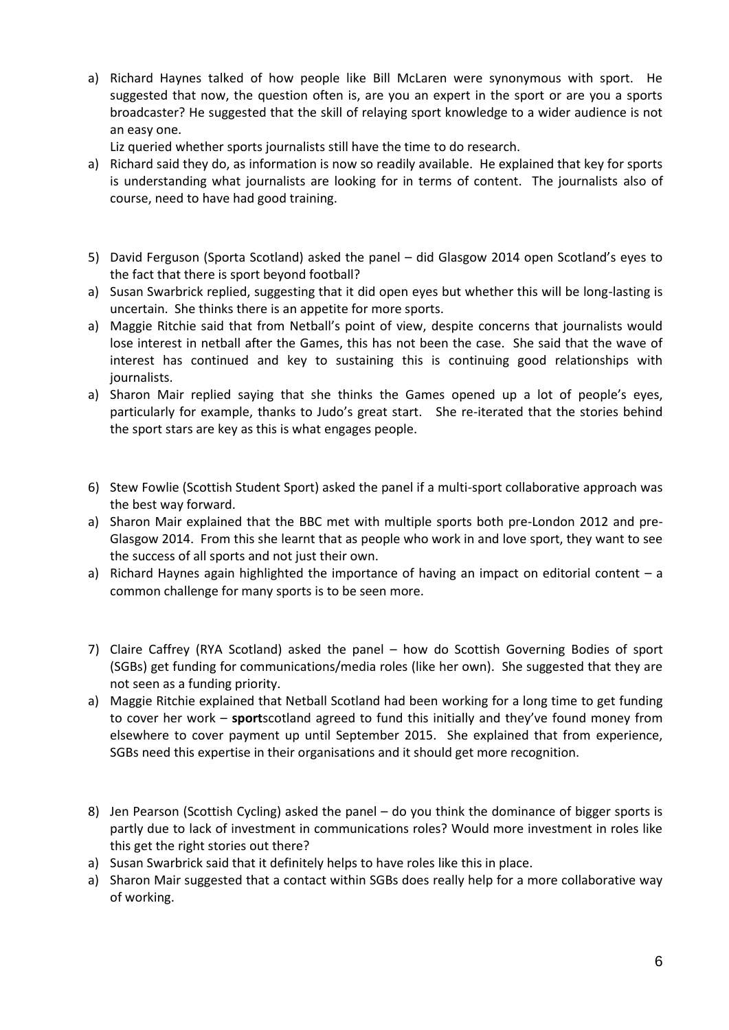a) Richard Haynes talked of how people like Bill McLaren were synonymous with sport. He suggested that now, the question often is, are you an expert in the sport or are you a sports broadcaster? He suggested that the skill of relaying sport knowledge to a wider audience is not an easy one.

Liz queried whether sports journalists still have the time to do research.

- a) Richard said they do, as information is now so readily available. He explained that key for sports is understanding what journalists are looking for in terms of content. The journalists also of course, need to have had good training.
- 5) David Ferguson (Sporta Scotland) asked the panel did Glasgow 2014 open Scotland's eyes to the fact that there is sport beyond football?
- a) Susan Swarbrick replied, suggesting that it did open eyes but whether this will be long-lasting is uncertain. She thinks there is an appetite for more sports.
- a) Maggie Ritchie said that from Netball's point of view, despite concerns that journalists would lose interest in netball after the Games, this has not been the case. She said that the wave of interest has continued and key to sustaining this is continuing good relationships with journalists.
- a) Sharon Mair replied saying that she thinks the Games opened up a lot of people's eyes, particularly for example, thanks to Judo's great start. She re-iterated that the stories behind the sport stars are key as this is what engages people.
- 6) Stew Fowlie (Scottish Student Sport) asked the panel if a multi-sport collaborative approach was the best way forward.
- a) Sharon Mair explained that the BBC met with multiple sports both pre-London 2012 and pre-Glasgow 2014. From this she learnt that as people who work in and love sport, they want to see the success of all sports and not just their own.
- a) Richard Haynes again highlighted the importance of having an impact on editorial content a common challenge for many sports is to be seen more.
- 7) Claire Caffrey (RYA Scotland) asked the panel how do Scottish Governing Bodies of sport (SGBs) get funding for communications/media roles (like her own). She suggested that they are not seen as a funding priority.
- a) Maggie Ritchie explained that Netball Scotland had been working for a long time to get funding to cover her work – **sport**scotland agreed to fund this initially and they've found money from elsewhere to cover payment up until September 2015. She explained that from experience, SGBs need this expertise in their organisations and it should get more recognition.
- 8) Jen Pearson (Scottish Cycling) asked the panel do you think the dominance of bigger sports is partly due to lack of investment in communications roles? Would more investment in roles like this get the right stories out there?
- a) Susan Swarbrick said that it definitely helps to have roles like this in place.
- a) Sharon Mair suggested that a contact within SGBs does really help for a more collaborative way of working.